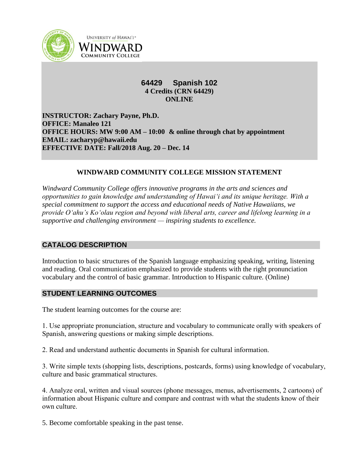

**UNIVERSITY of HAWAI'I\*** WINDWARD **COMMUNITY COLLEGE** 

# **64429 Spanish 102 4 Credits (CRN 64429) ONLINE**

**INSTRUCTOR: Zachary Payne, Ph.D. OFFICE: Manaleo 121 OFFICE HOURS: MW 9:00 AM – 10:00 & online through chat by appointment EMAIL: zacharyp@hawaii.edu EFFECTIVE DATE: Fall/2018 Aug. 20 – Dec. 14**

## **WINDWARD COMMUNITY COLLEGE MISSION STATEMENT**

*Windward Community College offers innovative programs in the arts and sciences and opportunities to gain knowledge and understanding of Hawai'i and its unique heritage. With a special commitment to support the access and educational needs of Native Hawaiians, we provide O'ahu's Ko'olau region and beyond with liberal arts, career and lifelong learning in a supportive and challenging environment — inspiring students to excellence.*

# **CATALOG DESCRIPTION**

Introduction to basic structures of the Spanish language emphasizing speaking, writing, listening and reading. Oral communication emphasized to provide students with the right pronunciation vocabulary and the control of basic grammar. Introduction to Hispanic culture. (Online)

# **STUDENT LEARNING OUTCOMES**

The student learning outcomes for the course are:

1. Use appropriate pronunciation, structure and vocabulary to communicate orally with speakers of Spanish, answering questions or making simple descriptions.

2. Read and understand authentic documents in Spanish for cultural information.

3. Write simple texts (shopping lists, descriptions, postcards, forms) using knowledge of vocabulary, culture and basic grammatical structures.

4. Analyze oral, written and visual sources (phone messages, menus, advertisements, 2 cartoons) of information about Hispanic culture and compare and contrast with what the students know of their own culture.

5. Become comfortable speaking in the past tense.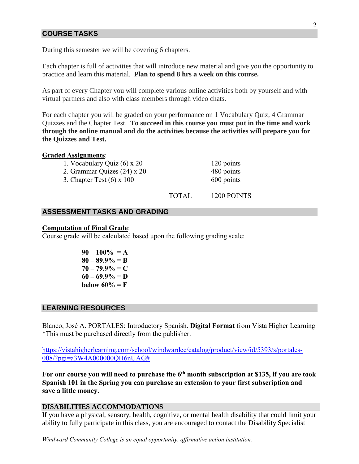## **COURSE TASKS**

During this semester we will be covering 6 chapters.

Each chapter is full of activities that will introduce new material and give you the opportunity to practice and learn this material. **Plan to spend 8 hrs a week on this course.**

As part of every Chapter you will complete various online activities both by yourself and with virtual partners and also with class members through video chats.

For each chapter you will be graded on your performance on 1 Vocabulary Quiz, 4 Grammar Quizzes and the Chapter Test. **To succeed in this course you must put in the time and work through the online manual and do the activities because the activities will prepare you for the Quizzes and Test.**

### **Graded Assignments**:

1. Vocabulary Quiz (6) x 20 120 points

- 2. Grammar Quizes  $(24) \times 20$  480 points
- 3. Chapter Test  $(6)$  x 100 600 points

TOTAL 1200 POINTS

### **ASSESSMENT TASKS AND GRADING**

#### **Computation of Final Grade**:

Course grade will be calculated based upon the following grading scale:

 $90 - 100\% = A$ **80 – 89.9% = B**  $70 - 79.9\% = C$  $60 - 69.9\% = D$ **below 60% =**  $F$ 

## **LEARNING RESOURCES**

Blanco, José A. PORTALES: Introductory Spanish. **Digital Format** from Vista Higher Learning \*This must be purchased directly from the publisher.

[https://vistahigherlearning.com/school/windwardcc/catalog/product/view/id/5393/s/portales-](https://vistahigherlearning.com/school/windwardcc/catalog/product/view/id/5393/s/portales-008/?pgi=a3W4A000000QH6nUAG%23)[008/?pgi=a3W4A000000QH6nUAG#](https://vistahigherlearning.com/school/windwardcc/catalog/product/view/id/5393/s/portales-008/?pgi=a3W4A000000QH6nUAG%23)

**For our course you will need to purchase the 6th month subscription at \$135, if you are took Spanish 101 in the Spring you can purchase an extension to your first subscription and save a little money.**

## **DISABILITIES ACCOMMODATIONS**

If you have a physical, sensory, health, cognitive, or mental health disability that could limit your ability to fully participate in this class, you are encouraged to contact the Disability Specialist

*Windward Community College is an equal opportunity, affirmative action institution.*